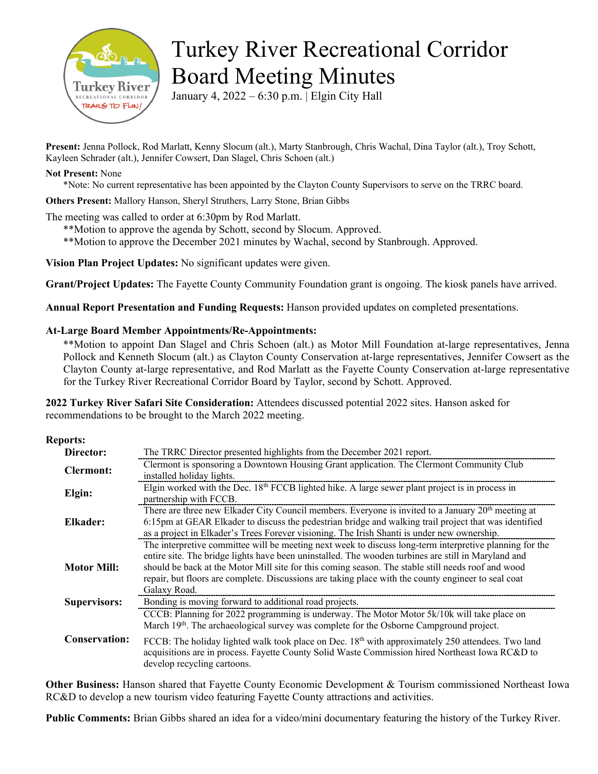

# Turkey River Recreational Corridor Board Meeting Minutes

January 4, 2022 – 6:30 p.m. | Elgin City Hall

**Present:** Jenna Pollock, Rod Marlatt, Kenny Slocum (alt.), Marty Stanbrough, Chris Wachal, Dina Taylor (alt.), Troy Schott, Kayleen Schrader (alt.), Jennifer Cowsert, Dan Slagel, Chris Schoen (alt.)

#### **Not Present:** None

\*Note: No current representative has been appointed by the Clayton County Supervisors to serve on the TRRC board.

**Others Present:** Mallory Hanson, Sheryl Struthers, Larry Stone, Brian Gibbs

The meeting was called to order at 6:30pm by Rod Marlatt.

\*\*Motion to approve the agenda by Schott, second by Slocum. Approved.

\*\*Motion to approve the December 2021 minutes by Wachal, second by Stanbrough. Approved.

**Vision Plan Project Updates:** No significant updates were given.

**Grant/Project Updates:** The Fayette County Community Foundation grant is ongoing. The kiosk panels have arrived.

**Annual Report Presentation and Funding Requests:** Hanson provided updates on completed presentations.

### **At-Large Board Member Appointments/Re-Appointments:**

\*\*Motion to appoint Dan Slagel and Chris Schoen (alt.) as Motor Mill Foundation at-large representatives, Jenna Pollock and Kenneth Slocum (alt.) as Clayton County Conservation at-large representatives, Jennifer Cowsert as the Clayton County at-large representative, and Rod Marlatt as the Fayette County Conservation at-large representative for the Turkey River Recreational Corridor Board by Taylor, second by Schott. Approved.

**2022 Turkey River Safari Site Consideration:** Attendees discussed potential 2022 sites. Hanson asked for recommendations to be brought to the March 2022 meeting.

#### **Reports:**

| The TRRC Director presented highlights from the December 2021 report.                                                                                                                                                                                                                                                                                                                                                                       |
|---------------------------------------------------------------------------------------------------------------------------------------------------------------------------------------------------------------------------------------------------------------------------------------------------------------------------------------------------------------------------------------------------------------------------------------------|
| Clermont is sponsoring a Downtown Housing Grant application. The Clermont Community Club<br>installed holiday lights.                                                                                                                                                                                                                                                                                                                       |
| Elgin worked with the Dec. $18th$ FCCB lighted hike. A large sewer plant project is in process in<br>partnership with FCCB.                                                                                                                                                                                                                                                                                                                 |
| There are three new Elkader City Council members. Everyone is invited to a January 20 <sup>th</sup> meeting at<br>6:15pm at GEAR Elkader to discuss the pedestrian bridge and walking trail project that was identified<br>as a project in Elkader's Trees Forever visioning. The Irish Shanti is under new ownership.                                                                                                                      |
| The interpretive committee will be meeting next week to discuss long-term interpretive planning for the<br>entire site. The bridge lights have been uninstalled. The wooden turbines are still in Maryland and<br>should be back at the Motor Mill site for this coming season. The stable still needs roof and wood<br>repair, but floors are complete. Discussions are taking place with the county engineer to seal coat<br>Galaxy Road. |
| Bonding is moving forward to additional road projects.                                                                                                                                                                                                                                                                                                                                                                                      |
| CCCB: Planning for 2022 programming is underway. The Motor Motor 5k/10k will take place on<br>March 19th. The archaeological survey was complete for the Osborne Campground project.<br>FCCB: The holiday lighted walk took place on Dec. $18th$ with approximately 250 attendees. Two land<br>acquisitions are in process. Fayette County Solid Waste Commission hired Northeast Iowa RC&D to<br>develop recycling cartoons.               |
|                                                                                                                                                                                                                                                                                                                                                                                                                                             |

**Other Business:** Hanson shared that Fayette County Economic Development & Tourism commissioned Northeast Iowa RC&D to develop a new tourism video featuring Fayette County attractions and activities.

**Public Comments:** Brian Gibbs shared an idea for a video/mini documentary featuring the history of the Turkey River.